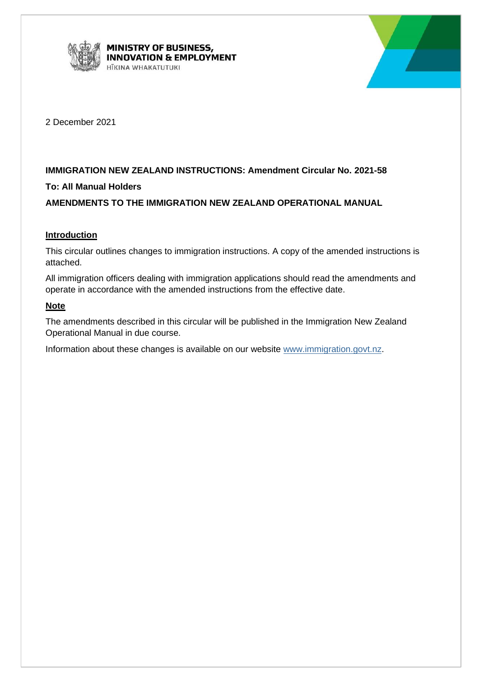



2 December 2021

## **IMMIGRATION NEW ZEALAND INSTRUCTIONS: Amendment Circular No. 2021-58**

## **To: All Manual Holders**

## **AMENDMENTS TO THE IMMIGRATION NEW ZEALAND OPERATIONAL MANUAL**

## **Introduction**

This circular outlines changes to immigration instructions. A copy of the amended instructions is attached.

All immigration officers dealing with immigration applications should read the amendments and operate in accordance with the amended instructions from the effective date.

## **Note**

The amendments described in this circular will be published in the Immigration New Zealand Operational Manual in due course.

Information about these changes is available on our website [www.immigration.govt.nz.](http://www.immigration.govt.nz/)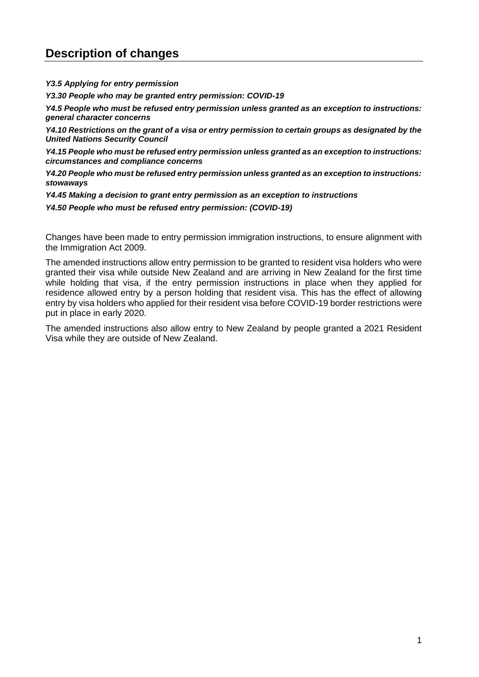# **Description of changes**

*Y3.5 Applying for entry permission*

*Y3.30 People who may be granted entry permission: COVID-19*

*Y4.5 People who must be refused entry permission unless granted as an exception to instructions: general character concerns*

*Y4.10 Restrictions on the grant of a visa or entry permission to certain groups as designated by the United Nations Security Council*

*Y4.15 People who must be refused entry permission unless granted as an exception to instructions: circumstances and compliance concerns*

*Y4.20 People who must be refused entry permission unless granted as an exception to instructions: stowaways*

*Y4.45 Making a decision to grant entry permission as an exception to instructions*

*Y4.50 People who must be refused entry permission: (COVID-19)*

Changes have been made to entry permission immigration instructions, to ensure alignment with the Immigration Act 2009.

The amended instructions allow entry permission to be granted to resident visa holders who were granted their visa while outside New Zealand and are arriving in New Zealand for the first time while holding that visa, if the entry permission instructions in place when they applied for residence allowed entry by a person holding that resident visa. This has the effect of allowing entry by visa holders who applied for their resident visa before COVID-19 border restrictions were put in place in early 2020.

The amended instructions also allow entry to New Zealand by people granted a 2021 Resident Visa while they are outside of New Zealand.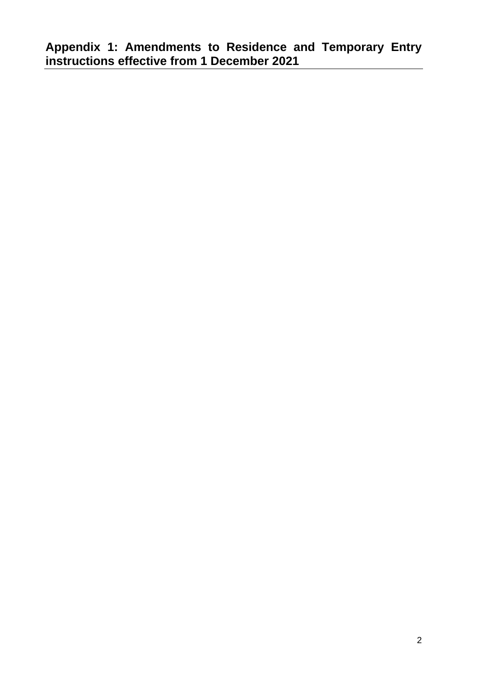**Appendix 1: Amendments to Residence and Temporary Entry instructions effective from 1 December 2021**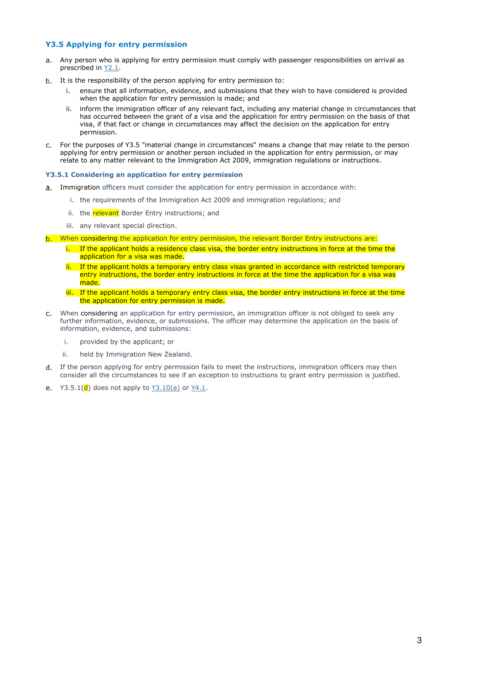#### **Y3.5 Applying for entry permission**

- Any person who is applying for entry permission must comply with passenger responsibilities on arrival as prescribed in [Y2.1.](http://inzkit/publish/opsmanual/#42663.htm)
- b. It is the responsibility of the person applying for entry permission to:
	- i. ensure that all information, evidence, and submissions that they wish to have considered is provided when the application for entry permission is made; and
	- ii. inform the immigration officer of any relevant fact, including any material change in circumstances that has occurred between the grant of a visa and the application for entry permission on the basis of that visa, if that fact or change in circumstances may affect the decision on the application for entry permission.
- For the purposes of Y3.5 "material change in circumstances" means a change that may relate to the person  $c_{\cdot}$ applying for entry permission or another person included in the application for entry permission, or may relate to any matter relevant to the Immigration Act 2009, immigration regulations or instructions.

#### **Y3.5.1 Considering an application for entry permission**

- a. Immigration officers must consider the application for entry permission in accordance with:
	- i. the requirements of the Immigration Act 2009 and immigration regulations; and
	- ii. the relevant Border Entry instructions; and
	- iii. any relevant special direction.
- b. When considering the application for entry permission, the relevant Border Entry instructions are:
	- i. If the applicant holds a residence class visa, the border entry instructions in force at the time the application for a visa was made.
	- ii. If the applicant holds a temporary entry class visas granted in accordance with restricted temporary entry instructions, the border entry instructions in force at the time the application for a visa was made.
	- iii. If the applicant holds a temporary entry class visa, the border entry instructions in force at the time the application for entry permission is made.
- When considering an application for entry permission, an immigration officer is not obliged to seek any  $C_{n}$ further information, evidence, or submissions. The officer may determine the application on the basis of information, evidence, and submissions:
	- i. provided by the applicant; or
	- ii. held by Immigration New Zealand.
- d. If the person applying for entry permission fails to meet the instructions, immigration officers may then consider all the circumstances to see if an exception to instructions to grant entry permission is justified.
- e.  $Y3.5.1(d)$  does not apply to  $Y3.10(a)$  or  $Y4.1$ .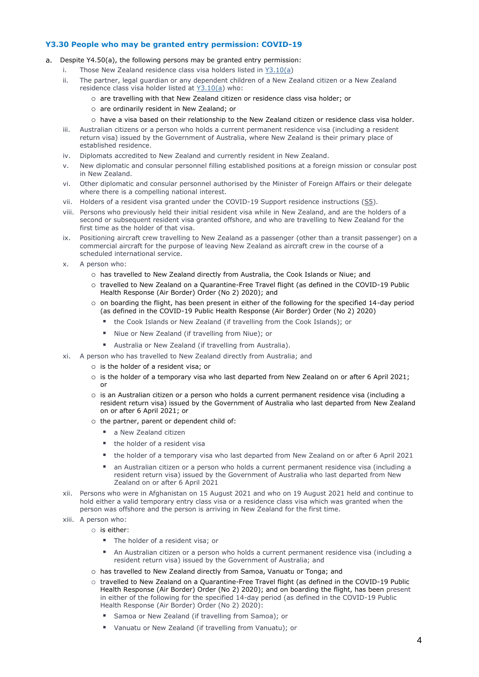#### **Y3.30 People who may be granted entry permission: COVID-19**

- Despite Y4.50(a), the following persons may be granted entry permission:
	- i. Those New Zealand residence class visa holders listed in [Y3.10\(a\)](http://inzkit/publish/opsmanual/#35375.htm)
	- ii. The partner, legal guardian or any dependent children of a New Zealand citizen or a New Zealand residence class visa holder listed at [Y3.10\(a\)](http://inzkit/publish/opsmanual/#35375.htm) who:
		- o are travelling with that New Zealand citizen or residence class visa holder; or
		- o are ordinarily resident in New Zealand; or
		- o have a visa based on their relationship to the New Zealand citizen or residence class visa holder.
	- iii. Australian citizens or a person who holds a current permanent residence visa (including a resident return visa) issued by the Government of Australia, where New Zealand is their primary place of established residence.
	- iv. Diplomats accredited to New Zealand and currently resident in New Zealand.
	- v. New diplomatic and consular personnel filling established positions at a foreign mission or consular post in New Zealand.
	- vi. Other diplomatic and consular personnel authorised by the Minister of Foreign Affairs or their delegate where there is a compelling national interest.
	- vii. Holders of a resident visa granted under the COVID-19 Support residence instructions  $(S5)$ .
	- viii. Persons who previously held their initial resident visa while in New Zealand, and are the holders of a second or subsequent resident visa granted offshore, and who are travelling to New Zealand for the first time as the holder of that visa.
	- ix. Positioning aircraft crew travelling to New Zealand as a passenger (other than a transit passenger) on a commercial aircraft for the purpose of leaving New Zealand as aircraft crew in the course of a scheduled international service.
	- x. A person who:
		- o has travelled to New Zealand directly from Australia, the Cook Islands or Niue; and
		- o travelled to New Zealand on a Quarantine-Free Travel flight (as defined in the COVID-19 Public Health Response (Air Border) Order (No 2) 2020); and
		- o on boarding the flight, has been present in either of the following for the specified 14-day period (as defined in the COVID-19 Public Health Response (Air Border) Order (No 2) 2020)
			- the Cook Islands or New Zealand (if travelling from the Cook Islands); or
			- Niue or New Zealand (if travelling from Niue); or
			- Australia or New Zealand (if travelling from Australia).
	- xi. A person who has travelled to New Zealand directly from Australia; and
		- o is the holder of a resident visa; or
		- o is the holder of a temporary visa who last departed from New Zealand on or after 6 April 2021; or
		- o is an Australian citizen or a person who holds a current permanent residence visa (including a resident return visa) issued by the Government of Australia who last departed from New Zealand on or after 6 April 2021; or
		- o the partner, parent or dependent child of:
			- a New Zealand citizen
			- the holder of a resident visa
			- the holder of a temporary visa who last departed from New Zealand on or after 6 April 2021
			- an Australian citizen or a person who holds a current permanent residence visa (including a resident return visa) issued by the Government of Australia who last departed from New Zealand on or after 6 April 2021
	- xii. Persons who were in Afghanistan on 15 August 2021 and who on 19 August 2021 held and continue to hold either a valid temporary entry class visa or a residence class visa which was granted when the person was offshore and the person is arriving in New Zealand for the first time.
	- xiii. A person who:
		- o is either:
			- The holder of a resident visa; or
			- An Australian citizen or a person who holds a current permanent residence visa (including a resident return visa) issued by the Government of Australia; and
			- o has travelled to New Zealand directly from Samoa, Vanuatu or Tonga; and
			- o travelled to New Zealand on a Quarantine-Free Travel flight (as defined in the COVID-19 Public Health Response (Air Border) Order (No 2) 2020); and on boarding the flight, has been present in either of the following for the specified 14-day period (as defined in the COVID-19 Public Health Response (Air Border) Order (No 2) 2020):
				- Samoa or New Zealand (if travelling from Samoa); or
				- Vanuatu or New Zealand (if travelling from Vanuatu); or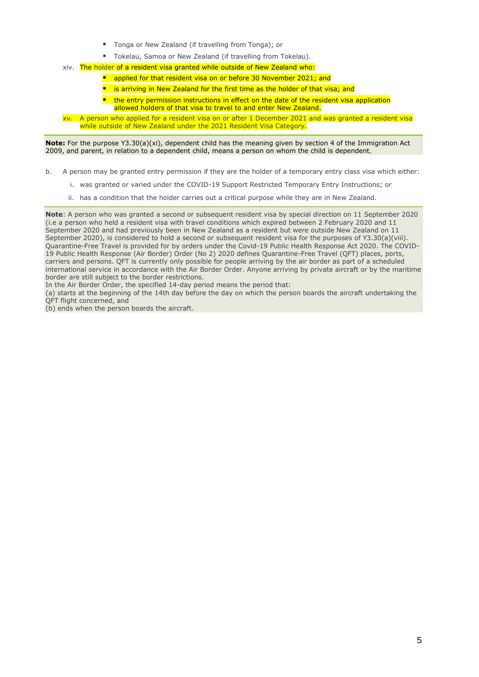- Tonga or New Zealand (if travelling from Tonga); or
- Tokelau, Samoa or New Zealand (if travelling from Tokelau).
- xiv. The holder of a resident visa granted while outside of New Zealand who:
	- applied for that resident visa on or before 30 November 2021; and
	- is arriving in New Zealand for the first time as the holder of that visa; and
	- $\blacksquare$  the entry permission instructions in effect on the date of the resident visa application allowed holders of that visa to travel to and enter New Zealand.
- xv. A person who applied for a resident visa on or after 1 December 2021 and was granted a resident visa while outside of New Zealand under the 2021 Resident Visa Category.

**Note:** For the purpose Y3.30(a)(xi), dependent child has the meaning given by section 4 of the Immigration Act 2009, and parent, in relation to a dependent child, means a person on whom the child is dependent.

- b. A person may be granted entry permission if they are the holder of a temporary entry class visa which either:
	- i. was granted or varied under the COVID-19 Support Restricted Temporary Entry Instructions; or
	- ii. has a condition that the holder carries out a critical purpose while they are in New Zealand.

**Note**: A person who was granted a second or subsequent resident visa by special direction on 11 September 2020 (i.e a person who held a resident visa with travel conditions which expired between 2 February 2020 and 11 September 2020 and had previously been in New Zealand as a resident but were outside New Zealand on 11 September 2020), is considered to hold a second or subsequent resident visa for the purposes of Y3.30(a)(viii). Quarantine-Free Travel is provided for by orders under the Covid-19 Public Health Response Act 2020. The COVID-19 Public Health Response (Air Border) Order (No 2) 2020 defines Quarantine-Free Travel (QFT) places, ports, carriers and persons. QFT is currently only possible for people arriving by the air border as part of a scheduled international service in accordance with the Air Border Order. Anyone arriving by private aircraft or by the maritime border are still subject to the border restrictions.

- In the Air Border Order, the specified 14-day period means the period that:
- (a) starts at the beginning of the 14th day before the day on which the person boards the aircraft undertaking the QFT flight concerned, and
- (b) ends when the person boards the aircraft.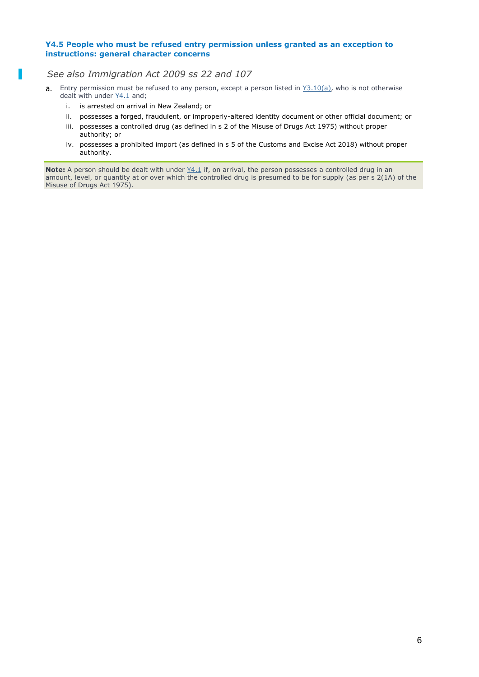#### **Y4.5 People who must be refused entry permission unless granted as an exception to instructions: general character concerns**

*See also Immigration Act 2009 ss 22 and 107*

- a. Entry permission must be refused to any person, except a person listed in  $Y3.10(a)$ , who is not otherwise dealt with under  $Y4.1$  and;
	- i. is arrested on arrival in New Zealand; or
	- ii. possesses a forged, fraudulent, or improperly-altered identity document or other official document; or
	- iii. possesses a controlled drug (as defined in s 2 of the Misuse of Drugs Act 1975) without proper authority; or
	- iv. possesses a prohibited import (as defined in s 5 of the Customs and Excise Act 2018) without proper authority.

**Note:** A person should be dealt with under  $Y4.1$  if, on arrival, the person possesses a controlled drug in an amount, level, or quantity at or over which the controlled drug is presumed to be for supply (as per s 2(1A) of the Misuse of Drugs Act 1975).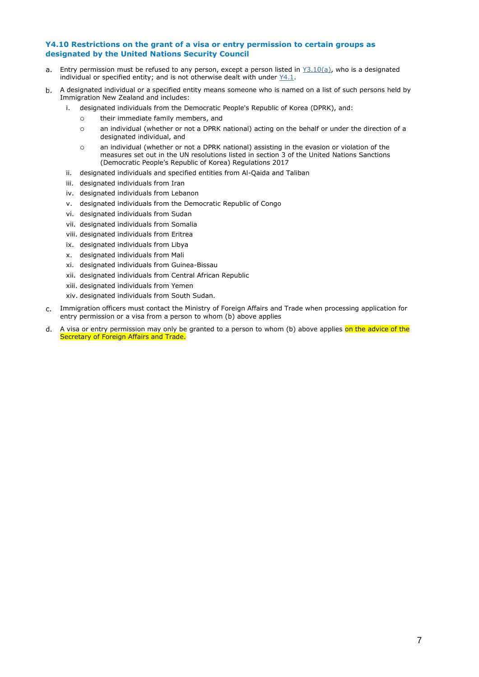#### **Y4.10 Restrictions on the grant of a visa or entry permission to certain groups as designated by the United Nations Security Council**

- $a_{\cdot}$ Entry permission must be refused to any person, except a person listed in  $Y3.10(a)$ , who is a designated individual or specified entity; and is not otherwise dealt with under [Y4.1.](http://inzkit/publish/opsmanual/#35389.htm)
- A designated individual or a specified entity means someone who is named on a list of such persons held by b. Immigration New Zealand and includes:
	- i. designated individuals from the Democratic People's Republic of Korea (DPRK), and:
		- o their immediate family members, and
		- o an individual (whether or not a DPRK national) acting on the behalf or under the direction of a designated individual, and
		- o an individual (whether or not a DPRK national) assisting in the evasion or violation of the measures set out in the UN resolutions listed in section 3 of the United Nations Sanctions (Democratic People's Republic of Korea) Regulations 2017
	- ii. designated individuals and specified entities from Al-Qaida and Taliban
	- iii. designated individuals from Iran
	- iv. designated individuals from Lebanon
	- v. designated individuals from the Democratic Republic of Congo
	- vi. designated individuals from Sudan
	- vii. designated individuals from Somalia
	- viii. designated individuals from Eritrea
	- ix. designated individuals from Libya
	- x. designated individuals from Mali
	- xi. designated individuals from Guinea-Bissau
	- xii. designated individuals from Central African Republic
	- xiii. designated individuals from Yemen
	- xiv. designated individuals from South Sudan.
- Immigration officers must contact the Ministry of Foreign Affairs and Trade when processing application for entry permission or a visa from a person to whom (b) above applies
- A visa or entry permission may only be granted to a person to whom (b) above applies on the advice of the d. Secretary of Foreign Affairs and Trade.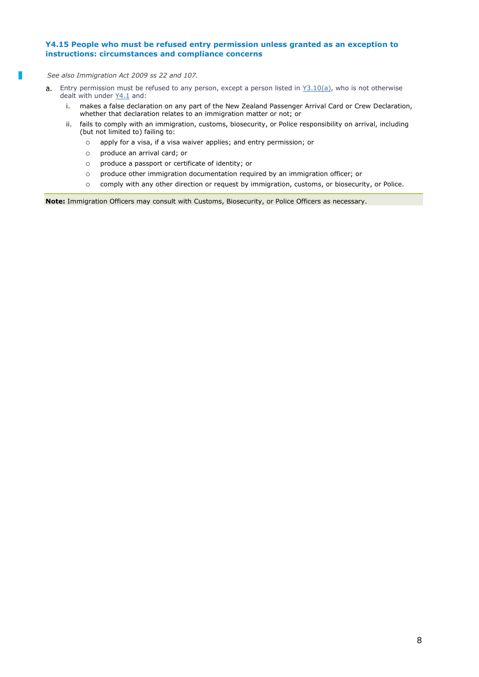### **Y4.15 People who must be refused entry permission unless granted as an exception to instructions: circumstances and compliance concerns**

*See also Immigration Act 2009 ss 22 and 107.*

- Entry permission must be refused to any person, except a person listed in [Y3.10\(a\),](http://inzkit/publish/opsmanual/#35375.htm) who is not otherwise  $a_{1}$ dealt with under  $Y4.1$  and:
	- i. makes a false declaration on any part of the New Zealand Passenger Arrival Card or Crew Declaration, whether that declaration relates to an immigration matter or not; or
	- ii. fails to comply with an immigration, customs, biosecurity, or Police responsibility on arrival, including (but not limited to) failing to:
		- o apply for a visa, if a visa waiver applies; and entry permission; or
		- o produce an arrival card; or
		- o produce a passport or certificate of identity; or
		- o produce other immigration documentation required by an immigration officer; or
		- o comply with any other direction or request by immigration, customs, or biosecurity, or Police.

**Note:** Immigration Officers may consult with Customs, Biosecurity, or Police Officers as necessary.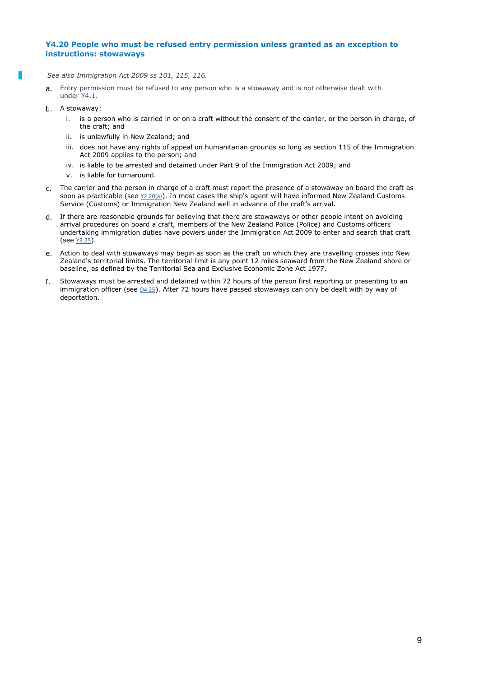#### **Y4.20 People who must be refused entry permission unless granted as an exception to instructions: stowaways**

- *See also Immigration Act 2009 ss 101, 115, 116.*
- Entry permission must be refused to any person who is a stowaway and is not otherwise dealt with  $\overline{a}$ under [Y4.1.](http://inzkit/publish/opsmanual/#35389.htm)
- b. A stowaway:
	- i. is a person who is carried in or on a craft without the consent of the carrier, or the person in charge, of the craft; and
	- ii. is unlawfully in New Zealand; and
	- iii. does not have any rights of appeal on humanitarian grounds so long as section 115 of the Immigration Act 2009 applies to the person; and
	- iv. is liable to be arrested and detained under Part 9 of the Immigration Act 2009; and
	- v. is liable for turnaround.
- The carrier and the person in charge of a craft must report the presence of a stowaway on board the craft as soon as practicable (see  $Y2.20(a)$ ). In most cases the ship's agent will have informed New Zealand Customs Service (Customs) or Immigration New Zealand well in advance of the craft's arrival.
- If there are reasonable grounds for believing that there are stowaways or other people intent on avoiding arrival procedures on board a craft, members of the New Zealand Police (Police) and Customs officers undertaking immigration duties have powers under the Immigration Act 2009 to enter and search that craft (see [Y3.25](http://inzkit/publish/opsmanual/#35378.htm)).
- Action to deal with stowaways may begin as soon as the craft on which they are travelling crosses into New  $\rho$ Zealand's territorial limits. The territorial limit is any point 12 miles seaward from the New Zealand shore or baseline, as defined by the Territorial Sea and Exclusive Economic Zone Act 1977.
- Stowaways must be arrested and detained within 72 hours of the person first reporting or presenting to an  $f_{\perp}$ immigration officer (see 04.25). After 72 hours have passed stowaways can only be dealt with by way of deportation.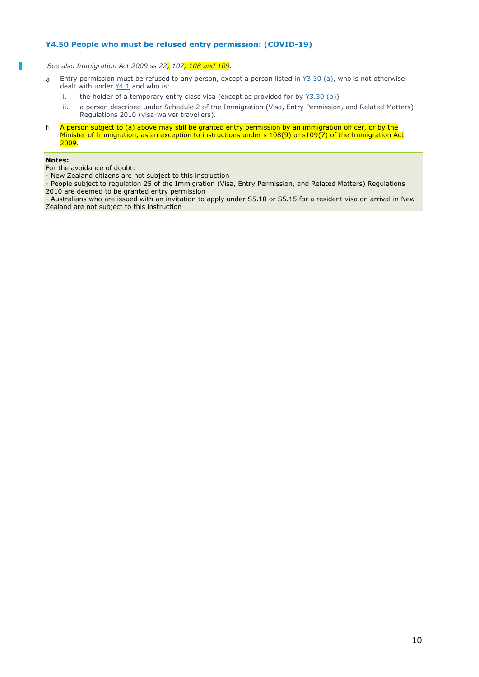### **Y4.50 People who must be refused entry permission: (COVID-19)**

*See also Immigration Act 2009 ss 22, 107, 108 and 109.*

- a. Entry permission must be refused to any person, except a person listed in  $Y3.30$  (a), who is not otherwise dealt with under [Y4.1](http://inzkit/publish/opsmanual/#35389.htm) and who is:
	- i. the holder of a temporary entry class visa (except as provided for by  $Y3.30$  (b))
	- ii. a person described under Schedule 2 of the Immigration (Visa, Entry Permission, and Related Matters) Regulations 2010 (visa-waiver travellers).
- $b.$ A person subject to (a) above may still be granted entry permission by an immigration officer, or by the Minister of Immigration, as an exception to instructions under s 108(9) or s109(7) of the Immigration Act  $2009.$

#### **Notes:**

For the avoidance of doubt:

- New Zealand citizens are not subject to this instruction

- People subject to regulation 25 of the Immigration (Visa, Entry Permission, and Related Matters) Regulations 2010 are deemed to be granted entry permission

- Australians who are issued with an invitation to apply under [S5.10](http://inzkit/publish/opsmanual/#76094.htm) or [S5.15](http://inzkit/publish/opsmanual/#76095.htm) for a resident visa on arrival in New Zealand are not subject to this instruction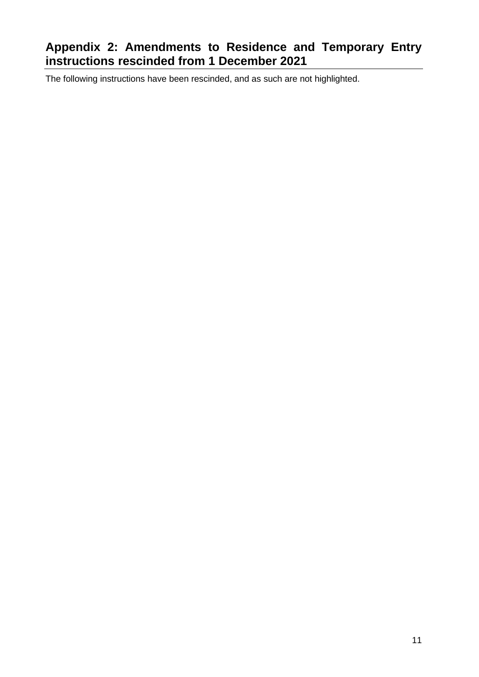# **Appendix 2: Amendments to Residence and Temporary Entry instructions rescinded from 1 December 2021**

The following instructions have been rescinded, and as such are not highlighted.